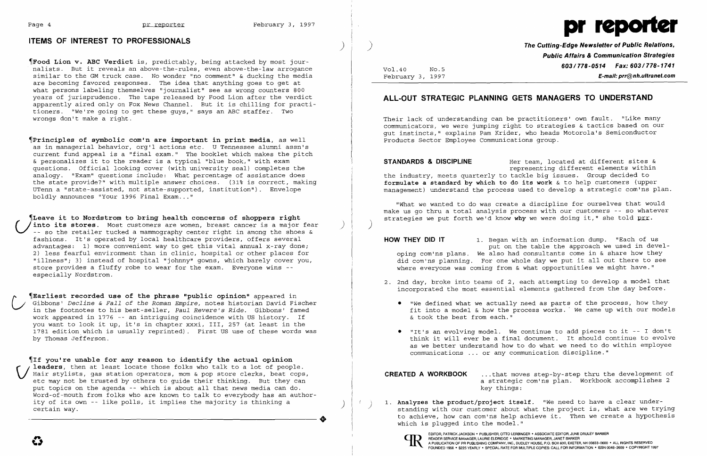

## **ITEMS OF INTEREST TO PROFESSIONALS** )

~Principles **of symbolic com'n are important in print media,** as well as in managerial behavior, org'l actions etc. U Tennessee alumni assn's current fund appeal is a "final exam." The booklet which makes the pitch & personalizes it to the reader is a typical "blue book," with exam questions. Official looking cover (with university seal) completes the analogy. "Exam" questions include: What percentage of assistance does the state provide?" with mUltiple answer choices. (31% is correct, making UTenn a "state-assisted, not state-supported, institution"). Envelope boldly announces "Your 1996 Final Exam..."

~Food **Lion v. ABC Verdict** is, predictably, being attacked by most journalists. But it reveals an above-the-rules, even above-the-law arrogance similar to the GM truck case. No wonder "no comment" & ducking the media are becoming favored responses. The idea that anything goes to get at what persons labeling themselves "journalist" see as wrong counters 800 years of jurisprudence. The tape released by Food Lion after the verdict apparently aired only on Fox News Channel. But it is chilling for practitioners. "We're going to get these guys," says an ABC staffer. Two wrongs don't make a right.

~If **you're unable for any reason to identify the actual opinion V** leaders, then at least locate those folks who talk to a lot of people.<br>Hair stylists, gas station operators, mom & pop store clerks, beat cops,<br>etc may not be trusted by others to guide their thinking. But they can Hair stylists, gas station operators, mom & pop store clerks, beat cops, etc may not be trusted by others to guide their thinking. But they can put topics on the agenda -- which is about all that news media can do. Word-of-mouth from folks who are known to talk to everybody has an author word-of-moden from forks who are known to tark to everybody has an addition-<br>ity of its own -- like polls, it implies the majority is thinking a<br>certain way.

~Leave **it to Nordstrom to bring health concerns of shoppers right** (*I* into its stores. Most customers are women, breast cancer is a major fear )<br>-- so the retailer tucked a mammography center right in among the shoes & fashions. It's operated by local healthcare providers, offers several advantages: 1) more convenient way to get this vital annual x-ray done; 2) less fearful environment than in clinic, hospital or other places for "illness"; 3) instead of hospital "johnny" gowns, which barely cover you, store provides a flUffy robe to wear for the exam. Everyone wins especially Nordstrom.

**STANDARDS & DISCIPLINE** Her team, located at different sites & the industry, meets quarterly to tackle big issues. Group decided to **formulate a standard by which** to do **its** work & to help customers (upper management) understand the process used to develop a strategic com'ns plan.

"What we wanted to do was create a discipline for ourselves that would make us go thru a total analysis process with our customers -- so whatever strategies we put forth we'd know why we were doing it," she told prr.

~Earliest **recorded use of the phrase "public opinion"** appeared in  $\bigcup$ Gibbons' *Decline* & *Fall* of *the Roman Empire,* notes historian David Fischer in the footnotes to his best-seller, *Paul Revere's Ride.* Gibbons' famed work appeared in 1776 -- an intriguing coincidence with US history. If you want to look it up, it's in chapter xxxi, III, 257 (at least in the 1781 edition which is usually reprinted). First US use of these words was by Thomas Jefferson.

> 1. Analyzes the product/project itself. "We need to have a clear under-<br>standing with our customer about what the project is, what are we trying to achieve, how can com'ns help achieve it. Then we create a hypothesis

EDITOR, PATRICK JACKSON • PUBLISHER, OTTO LERBINGER • ASSOCIATE EDITOR, JUNE DRULEY BARBER<br>READER SERVICE MANAGER, LAURIE ELDRIDGE • MARKETING MANAGER, JANET BARKER<br>FOUNDED 1958 • \$225 YEARLY • SPECIAL RATE FOR MULTIPLE CO READER SERVICE MANAGER, LAURIE ELDRIDGE' MARKETING MANAGER, JANET BARKER

)

Vol.40 NO.5 February 3, 1997 **The Cutting-Edge Newsletter of Public Relations, Public Affairs & Communication Strategies 603/778-0514 Fax: 603/778-1741 E-mail: prr@nh.ultranet.com** 

# **ALL-OUT STRATEGIC PLANNING GETS MANAGERS TO UNDERSTAND**

Their lack of understanding can be practitioners' own fault. "Like many communicators, we were jumping right to strategies & tactics based on our gut instincts," explains Pam Krider, who heads Motorola's Semiconductor Products Sector Employee Communications group.

representing different elements within

)

put on the table the approach we used in devel-

**HOW THEY DID IT** 1. Began with an information dump. "Each of us oping com'ns plans. We also had consultants come in & share how they did com'ns planning. For one whole day we put it all out there to see where everyone was coming from & what opportunities we might have."

2. 2nd day, broke into teams of 2, each attempting to develop a model that incorporated the most essential elements gathered from the day before.

• "We defined what we actually need as parts of the process, how they fit into a model  $\&$  how the process works. We came up with our models

• "It's an evolving model. We continue to add pieces to it -- I don't think it will ever be a final document. It should continue to evolve as we better understand how to do what we need to do within employee

- - & took the best from each."
	- communications ... or any communication discipline."

**CREATED A WORKBOOK** ... that moves step-by-step thru the development of a strategic com'ns plan. Workbook accomplishes 2 key things:

which is plugged into the model."

 $\begin{array}{c}\n\end{array}$